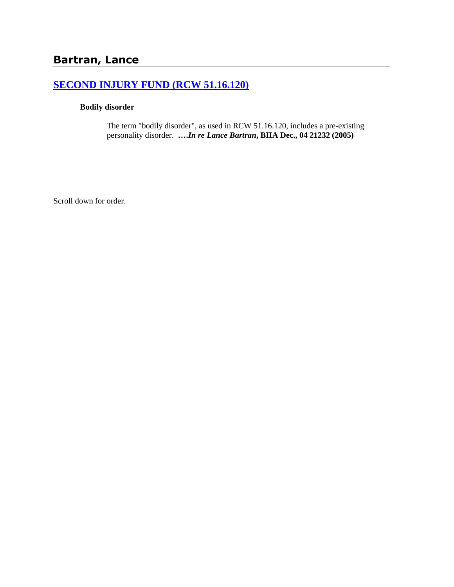# **[SECOND INJURY FUND \(RCW 51.16.120\)](http://www.biia.wa.gov/SDSubjectIndex.html#SECOND_INJURY_FUND)**

### **Bodily disorder**

The term "bodily disorder", as used in RCW 51.16.120, includes a pre-existing personality disorder. **….***In re Lance Bartran***, BIIA Dec., 04 21232 (2005)**

Scroll down for order.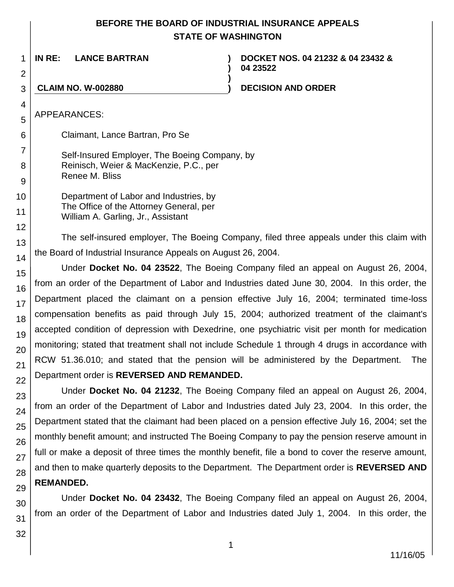# **BEFORE THE BOARD OF INDUSTRIAL INSURANCE APPEALS STATE OF WASHINGTON**

**)**

**)**

**IN RE: LANCE BARTRAN )**

**DOCKET NOS. 04 21232 & 04 23432 & 04 23522**

## 3

**CLAIM NO. W-002880 ) DECISION AND ORDER**

APPEARANCES:

1

2

4

5

6

Claimant, Lance Bartran, Pro Se

Self-Insured Employer, The Boeing Company, by Reinisch, Weier & MacKenzie, P.C., per Renee M. Bliss

Department of Labor and Industries, by The Office of the Attorney General, per William A. Garling, Jr., Assistant

The self-insured employer, The Boeing Company, filed three appeals under this claim with the Board of Industrial Insurance Appeals on August 26, 2004.

Under **Docket No. 04 23522**, The Boeing Company filed an appeal on August 26, 2004, from an order of the Department of Labor and Industries dated June 30, 2004. In this order, the Department placed the claimant on a pension effective July 16, 2004; terminated time-loss compensation benefits as paid through July 15, 2004; authorized treatment of the claimant's accepted condition of depression with Dexedrine, one psychiatric visit per month for medication monitoring; stated that treatment shall not include Schedule 1 through 4 drugs in accordance with RCW 51.36.010; and stated that the pension will be administered by the Department. The Department order is **REVERSED AND REMANDED.**

Under **Docket No. 04 21232**, The Boeing Company filed an appeal on August 26, 2004, from an order of the Department of Labor and Industries dated July 23, 2004. In this order, the Department stated that the claimant had been placed on a pension effective July 16, 2004; set the monthly benefit amount; and instructed The Boeing Company to pay the pension reserve amount in full or make a deposit of three times the monthly benefit, file a bond to cover the reserve amount, and then to make quarterly deposits to the Department. The Department order is **REVERSED AND REMANDED.**

Under **Docket No. 04 23432**, The Boeing Company filed an appeal on August 26, 2004, from an order of the Department of Labor and Industries dated July 1, 2004. In this order, the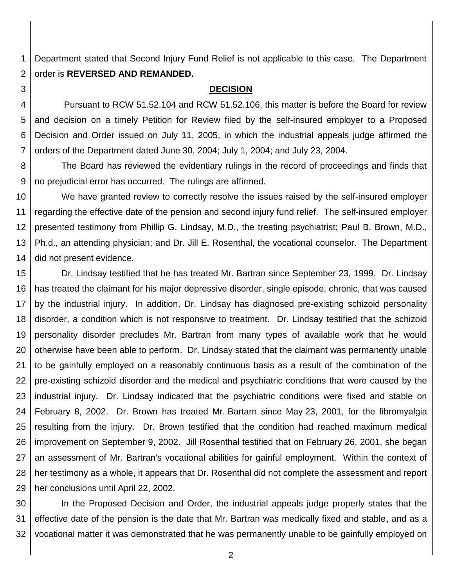1 2 Department stated that Second Injury Fund Relief is not applicable to this case. The Department order is **REVERSED AND REMANDED.**

3

4

5

6

7

#### **DECISION**

Pursuant to RCW 51.52.104 and RCW 51.52.106, this matter is before the Board for review and decision on a timely Petition for Review filed by the self-insured employer to a Proposed Decision and Order issued on July 11, 2005, in which the industrial appeals judge affirmed the orders of the Department dated June 30, 2004; July 1, 2004; and July 23, 2004.

8 9 The Board has reviewed the evidentiary rulings in the record of proceedings and finds that no prejudicial error has occurred. The rulings are affirmed.

10 11 12 13 14 We have granted review to correctly resolve the issues raised by the self-insured employer regarding the effective date of the pension and second injury fund relief. The self-insured employer presented testimony from Phillip G. Lindsay, M.D., the treating psychiatrist; Paul B. Brown, M.D., Ph.d., an attending physician; and Dr. Jill E. Rosenthal, the vocational counselor. The Department did not present evidence.

15 16 17 18 19 20 21 22 23 24 25 26 27 28 29 Dr. Lindsay testified that he has treated Mr. Bartran since September 23, 1999. Dr. Lindsay has treated the claimant for his major depressive disorder, single episode, chronic, that was caused by the industrial injury. In addition, Dr. Lindsay has diagnosed pre-existing schizoid personality disorder, a condition which is not responsive to treatment. Dr. Lindsay testified that the schizoid personality disorder precludes Mr. Bartran from many types of available work that he would otherwise have been able to perform. Dr. Lindsay stated that the claimant was permanently unable to be gainfully employed on a reasonably continuous basis as a result of the combination of the pre-existing schizoid disorder and the medical and psychiatric conditions that were caused by the industrial injury. Dr. Lindsay indicated that the psychiatric conditions were fixed and stable on February 8, 2002. Dr. Brown has treated Mr. Bartarn since May 23, 2001, for the fibromyalgia resulting from the injury. Dr. Brown testified that the condition had reached maximum medical improvement on September 9, 2002. Jill Rosenthal testified that on February 26, 2001, she began an assessment of Mr. Bartran's vocational abilities for gainful employment. Within the context of her testimony as a whole, it appears that Dr. Rosenthal did not complete the assessment and report her conclusions until April 22, 2002.

30 31 32 In the Proposed Decision and Order, the industrial appeals judge properly states that the effective date of the pension is the date that Mr. Bartran was medically fixed and stable, and as a vocational matter it was demonstrated that he was permanently unable to be gainfully employed on

2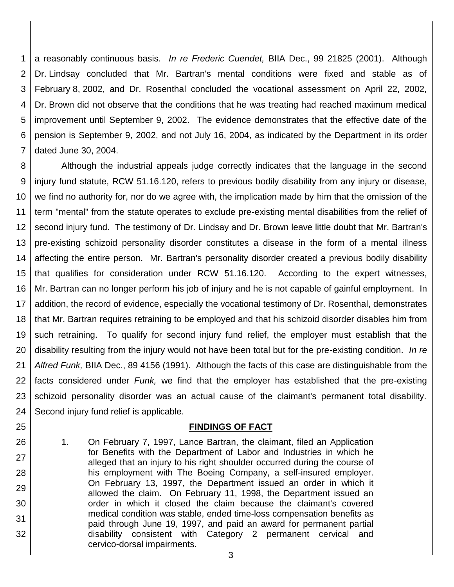1 2 3 4 5 6 7 a reasonably continuous basis. *In re Frederic Cuendet,* BIIA Dec., 99 21825 (2001). Although Dr. Lindsay concluded that Mr. Bartran's mental conditions were fixed and stable as of February 8, 2002, and Dr. Rosenthal concluded the vocational assessment on April 22, 2002, Dr. Brown did not observe that the conditions that he was treating had reached maximum medical improvement until September 9, 2002. The evidence demonstrates that the effective date of the pension is September 9, 2002, and not July 16, 2004, as indicated by the Department in its order dated June 30, 2004.

8 9 10 11 12 13 14 15 16 17 18 19 20 21 22 23 24 Although the industrial appeals judge correctly indicates that the language in the second injury fund statute, RCW 51.16.120, refers to previous bodily disability from any injury or disease, we find no authority for, nor do we agree with, the implication made by him that the omission of the term "mental" from the statute operates to exclude pre-existing mental disabilities from the relief of second injury fund. The testimony of Dr. Lindsay and Dr. Brown leave little doubt that Mr. Bartran's pre-existing schizoid personality disorder constitutes a disease in the form of a mental illness affecting the entire person. Mr. Bartran's personality disorder created a previous bodily disability that qualifies for consideration under RCW 51.16.120. According to the expert witnesses, Mr. Bartran can no longer perform his job of injury and he is not capable of gainful employment. In addition, the record of evidence, especially the vocational testimony of Dr. Rosenthal, demonstrates that Mr. Bartran requires retraining to be employed and that his schizoid disorder disables him from such retraining. To qualify for second injury fund relief, the employer must establish that the disability resulting from the injury would not have been total but for the pre-existing condition. *In re Alfred Funk,* BIIA Dec., 89 4156 (1991). Although the facts of this case are distinguishable from the facts considered under *Funk,* we find that the employer has established that the pre-existing schizoid personality disorder was an actual cause of the claimant's permanent total disability. Second injury fund relief is applicable.

### **FINDINGS OF FACT**

1. On February 7, 1997, Lance Bartran, the claimant, filed an Application for Benefits with the Department of Labor and Industries in which he alleged that an injury to his right shoulder occurred during the course of his employment with The Boeing Company, a self-insured employer. On February 13, 1997, the Department issued an order in which it allowed the claim. On February 11, 1998, the Department issued an order in which it closed the claim because the claimant's covered medical condition was stable, ended time-loss compensation benefits as paid through June 19, 1997, and paid an award for permanent partial disability consistent with Category 2 permanent cervical and cervico-dorsal impairments.

25

26

27

28

29

30

31

32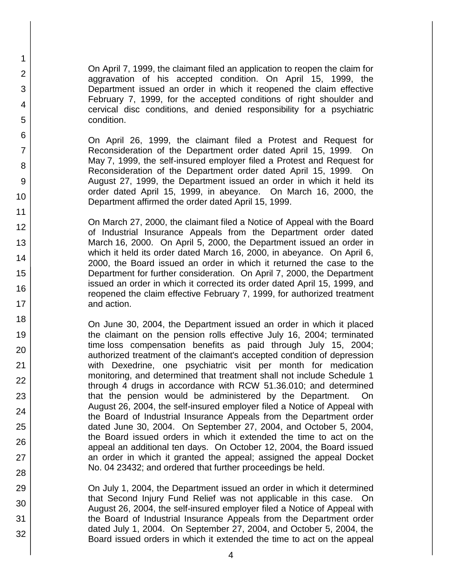On April 7, 1999, the claimant filed an application to reopen the claim for aggravation of his accepted condition. On April 15, 1999, the Department issued an order in which it reopened the claim effective February 7, 1999, for the accepted conditions of right shoulder and cervical disc conditions, and denied responsibility for a psychiatric condition.

1 2

3

4

5

6

7

8

9

10

11

12

13

14

15

16

17 18

19

20

21 22

23

24

25

26

27

28

29

30

31

32

On April 26, 1999, the claimant filed a Protest and Request for Reconsideration of the Department order dated April 15, 1999. On May 7, 1999, the self-insured employer filed a Protest and Request for Reconsideration of the Department order dated April 15, 1999. On August 27, 1999, the Department issued an order in which it held its order dated April 15, 1999, in abeyance. On March 16, 2000, the Department affirmed the order dated April 15, 1999.

On March 27, 2000, the claimant filed a Notice of Appeal with the Board of Industrial Insurance Appeals from the Department order dated March 16, 2000. On April 5, 2000, the Department issued an order in which it held its order dated March 16, 2000, in abeyance. On April 6, 2000, the Board issued an order in which it returned the case to the Department for further consideration. On April 7, 2000, the Department issued an order in which it corrected its order dated April 15, 1999, and reopened the claim effective February 7, 1999, for authorized treatment and action.

On June 30, 2004, the Department issued an order in which it placed the claimant on the pension rolls effective July 16, 2004; terminated time loss compensation benefits as paid through July 15, 2004; authorized treatment of the claimant's accepted condition of depression with Dexedrine, one psychiatric visit per month for medication monitoring, and determined that treatment shall not include Schedule 1 through 4 drugs in accordance with RCW 51.36.010; and determined that the pension would be administered by the Department. On August 26, 2004, the self-insured employer filed a Notice of Appeal with the Board of Industrial Insurance Appeals from the Department order dated June 30, 2004. On September 27, 2004, and October 5, 2004, the Board issued orders in which it extended the time to act on the appeal an additional ten days. On October 12, 2004, the Board issued an order in which it granted the appeal; assigned the appeal Docket No. 04 23432; and ordered that further proceedings be held.

On July 1, 2004, the Department issued an order in which it determined that Second Injury Fund Relief was not applicable in this case. On August 26, 2004, the self-insured employer filed a Notice of Appeal with the Board of Industrial Insurance Appeals from the Department order dated July 1, 2004. On September 27, 2004, and October 5, 2004, the Board issued orders in which it extended the time to act on the appeal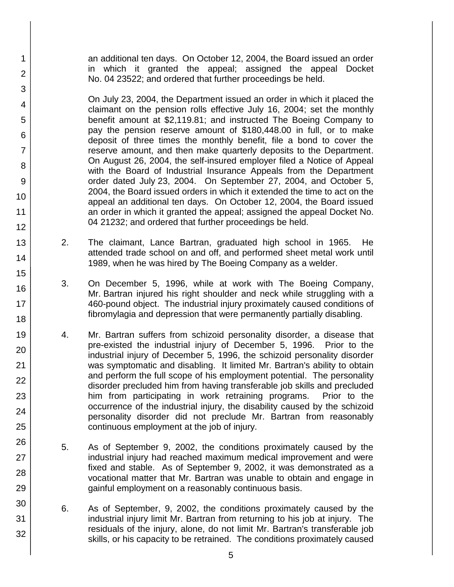an additional ten days. On October 12, 2004, the Board issued an order in which it granted the appeal; assigned the appeal Docket No. 04 23522; and ordered that further proceedings be held.

1

2

3

4

5

6

7

8

9

10

11

12

13

14

15

16

17 18

19

20

21 22

23

24

25

26

27

28

29

30

31 32

On July 23, 2004, the Department issued an order in which it placed the claimant on the pension rolls effective July 16, 2004; set the monthly benefit amount at \$2,119.81; and instructed The Boeing Company to pay the pension reserve amount of \$180,448.00 in full, or to make deposit of three times the monthly benefit, file a bond to cover the reserve amount, and then make quarterly deposits to the Department. On August 26, 2004, the self-insured employer filed a Notice of Appeal with the Board of Industrial Insurance Appeals from the Department order dated July 23, 2004. On September 27, 2004, and October 5, 2004, the Board issued orders in which it extended the time to act on the appeal an additional ten days. On October 12, 2004, the Board issued an order in which it granted the appeal; assigned the appeal Docket No. 04 21232; and ordered that further proceedings be held.

- 2. The claimant, Lance Bartran, graduated high school in 1965. He attended trade school on and off, and performed sheet metal work until 1989, when he was hired by The Boeing Company as a welder.
	- 3. On December 5, 1996, while at work with The Boeing Company, Mr. Bartran injured his right shoulder and neck while struggling with a 460-pound object. The industrial injury proximately caused conditions of fibromylagia and depression that were permanently partially disabling.
- 4. Mr. Bartran suffers from schizoid personality disorder, a disease that pre-existed the industrial injury of December 5, 1996. Prior to the industrial injury of December 5, 1996, the schizoid personality disorder was symptomatic and disabling. It limited Mr. Bartran's ability to obtain and perform the full scope of his employment potential. The personality disorder precluded him from having transferable job skills and precluded him from participating in work retraining programs. Prior to the occurrence of the industrial injury, the disability caused by the schizoid personality disorder did not preclude Mr. Bartran from reasonably continuous employment at the job of injury.
- 5. As of September 9, 2002, the conditions proximately caused by the industrial injury had reached maximum medical improvement and were fixed and stable. As of September 9, 2002, it was demonstrated as a vocational matter that Mr. Bartran was unable to obtain and engage in gainful employment on a reasonably continuous basis.
- 6. As of September, 9, 2002, the conditions proximately caused by the industrial injury limit Mr. Bartran from returning to his job at injury. The residuals of the injury, alone, do not limit Mr. Bartran's transferable job skills, or his capacity to be retrained. The conditions proximately caused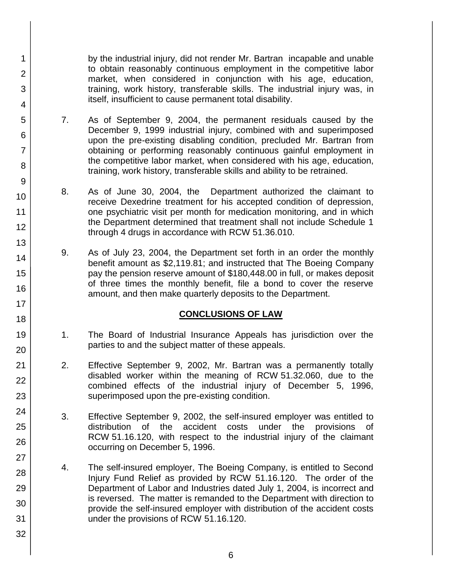by the industrial injury, did not render Mr. Bartran incapable and unable to obtain reasonably continuous employment in the competitive labor market, when considered in conjunction with his age, education, training, work history, transferable skills. The industrial injury was, in itself, insufficient to cause permanent total disability.

- 7. As of September 9, 2004, the permanent residuals caused by the December 9, 1999 industrial injury, combined with and superimposed upon the pre-existing disabling condition, precluded Mr. Bartran from obtaining or performing reasonably continuous gainful employment in the competitive labor market, when considered with his age, education, training, work history, transferable skills and ability to be retrained.
- 8. As of June 30, 2004, the Department authorized the claimant to receive Dexedrine treatment for his accepted condition of depression, one psychiatric visit per month for medication monitoring, and in which the Department determined that treatment shall not include Schedule 1 through 4 drugs in accordance with RCW 51.36.010.
- 9. As of July 23, 2004, the Department set forth in an order the monthly benefit amount as \$2,119.81; and instructed that The Boeing Company pay the pension reserve amount of \$180,448.00 in full, or makes deposit of three times the monthly benefit, file a bond to cover the reserve amount, and then make quarterly deposits to the Department.

# **CONCLUSIONS OF LAW**

- 1. The Board of Industrial Insurance Appeals has jurisdiction over the parties to and the subject matter of these appeals.
- 2. Effective September 9, 2002, Mr. Bartran was a permanently totally disabled worker within the meaning of RCW 51.32.060, due to the combined effects of the industrial injury of December 5, 1996, superimposed upon the pre-existing condition.
- 3. Effective September 9, 2002, the self-insured employer was entitled to distribution of the accident costs under the provisions of RCW 51.16.120, with respect to the industrial injury of the claimant occurring on December 5, 1996.
- 4. The self-insured employer, The Boeing Company, is entitled to Second Injury Fund Relief as provided by RCW 51.16.120. The order of the Department of Labor and Industries dated July 1, 2004, is incorrect and is reversed. The matter is remanded to the Department with direction to provide the self-insured employer with distribution of the accident costs under the provisions of RCW 51.16.120.
- 2 3 4 5 6 7 8 9 10 11 12 13 14 15 16 17 18 19 20 21 22 23 24 25 26 27 28 29 30 31 32

1